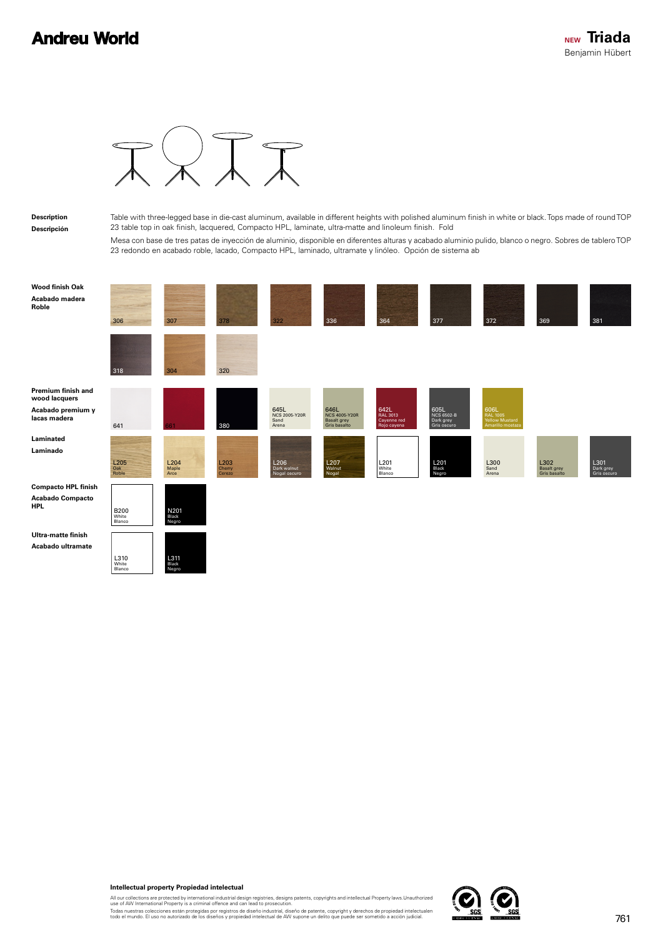## **Andreu World**



## **Description Descripción**

Table with three-legged base in die-cast aluminum, available in different heights with polished aluminum finish in white or black. Tops made of round TOP 23 table top in oak finish, lacquered, Compacto HPL, laminate, ultra-matte and linoleum finish. Fold

Mesa con base de tres patas de inyección de aluminio, disponible en diferentes alturas y acabado aluminio pulido, blanco o negro. Sobres de tablero TOP 23 redondo en acabado roble, lacado, Compacto HPL, laminado, ultramate y linóleo. Opción de sistema ab

| <b>Wood finish Oak</b><br>Acabado madera<br>Roble | 306                                    | 307                    | 378                                  | 322                                    | 336                                                  | 364                                            | 377                                            | 372                                                                        | 369                                 | 381                              |
|---------------------------------------------------|----------------------------------------|------------------------|--------------------------------------|----------------------------------------|------------------------------------------------------|------------------------------------------------|------------------------------------------------|----------------------------------------------------------------------------|-------------------------------------|----------------------------------|
|                                                   | 318                                    | 304                    | 320                                  |                                        |                                                      |                                                |                                                |                                                                            |                                     |                                  |
| Premium finish and<br>wood lacquers               |                                        |                        |                                      |                                        |                                                      |                                                |                                                |                                                                            |                                     |                                  |
| Acabado premium y<br>lacas madera                 | 641                                    | 61                     | 380                                  | 645L<br>NCS 2005-Y20R<br>Sand<br>Arena | 646L<br>NCS 4005-Y20R<br>Basalt grey<br>Gris basalto | 642L<br>RAL 3013<br>Cayenne red<br>Rojo cayena | 605L<br>NCS 6502-B<br>Dark grey<br>Gris oscuro | 606L<br>RAL 1005<br>Yellow Mustard<br>Amarillo mostaza                     |                                     |                                  |
| Laminated<br>Laminado                             |                                        |                        |                                      |                                        |                                                      |                                                |                                                |                                                                            |                                     |                                  |
|                                                   | $\frac{\text{L205}}{\text{Oak}}$ Roble | L204<br>Maple<br>Arce  | L <sub>203</sub><br>Cherry<br>Cerezo | L206<br>Dark walnut<br>Nogal oscuro    | L <sub>207</sub><br>Walnut<br>Nogal                  | L <sub>201</sub><br>White<br>Blanco            | L201<br>Black<br>Negro                         | $\begin{array}{c}\n\text{L300} \\ \text{Sand} \\ \text{Area}\n\end{array}$ | L302<br>Basalt grey<br>Gris basalto | L301<br>Dark grey<br>Gris oscuro |
| <b>Compacto HPL finish</b>                        |                                        |                        |                                      |                                        |                                                      |                                                |                                                |                                                                            |                                     |                                  |
| <b>Acabado Compacto</b><br><b>HPL</b>             | <b>B200</b><br>White<br>Blanco         | N201<br>Black<br>Negro |                                      |                                        |                                                      |                                                |                                                |                                                                            |                                     |                                  |
| Ultra-matte finish                                |                                        |                        |                                      |                                        |                                                      |                                                |                                                |                                                                            |                                     |                                  |
| Acabado ultramate                                 | L310<br>White<br>Blanco                | L311<br>Black<br>Negro |                                      |                                        |                                                      |                                                |                                                |                                                                            |                                     |                                  |



All our collections are protected by international industrial design registries, designs patents, copyrights and intellectual Property laws.Unauthorized<br>use of AW International Property is a criminal offence and can lead t

Todas nuestras colecciones están protegidas por registros de diseño industrial, diseño de patente, copyright y derechos de propiedad intelectualen<br>todo el mundo. El uso no autorizado de los diseños y propiedad intelectual

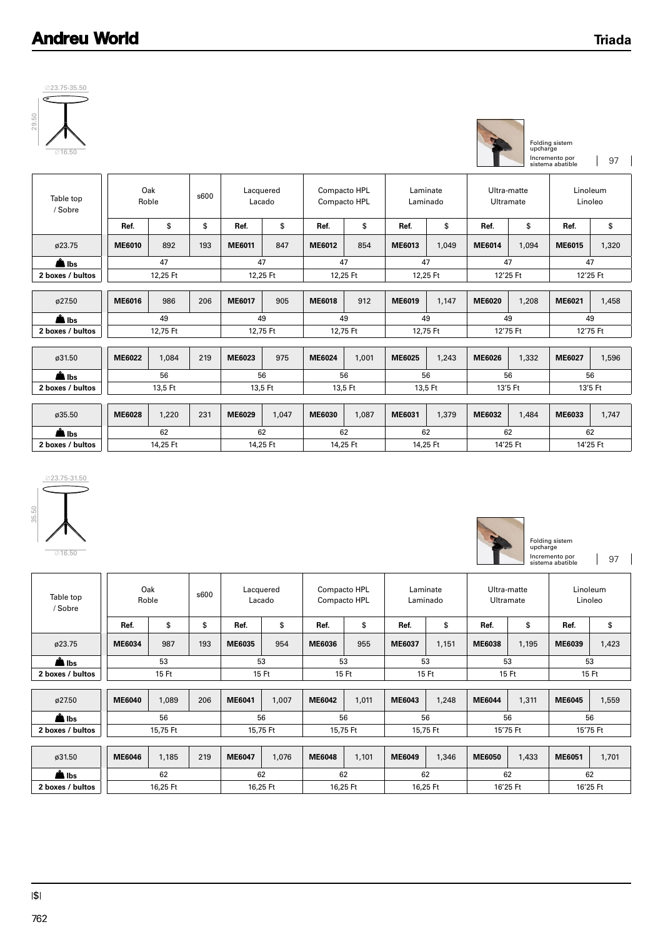

| 29.5<br>⊘16.50              |               |                      |     |                     |          |               |                              |          |                      |                          | upcharge | Folding sistem<br>Incremento por<br>sistema abatible | 97       |
|-----------------------------|---------------|----------------------|-----|---------------------|----------|---------------|------------------------------|----------|----------------------|--------------------------|----------|------------------------------------------------------|----------|
| Table top<br>/ Sobre        |               | Oak<br>s600<br>Roble |     | Lacquered<br>Lacado |          |               | Compacto HPL<br>Compacto HPL |          | Laminate<br>Laminado | Ultra-matte<br>Ultramate |          | Linoleum<br>Linoleo                                  |          |
|                             | Ref.          | \$                   | \$  | Ref.                | \$       | Ref.          | \$                           | Ref.     | \$                   | Ref.                     | \$       | Ref.                                                 | \$       |
| ø23.75                      | ME6010        | 892                  | 193 | ME6011              | 847      | ME6012        | 854                          | ME6013   | 1,049                | ME6014                   | 1,094    | ME6015                                               | 1,320    |
| $\triangle$ lbs             | 47            |                      | 47  |                     | 47       |               | 47                           |          | 47                   |                          | 47       |                                                      |          |
| 2 boxes / bultos            |               | 12,25 Ft             |     | 12,25 Ft            |          | 12,25 Ft      |                              | 12,25 Ft |                      | 12'25 Ft                 |          | 12'25 Ft                                             |          |
|                             |               |                      |     |                     |          |               |                              |          |                      |                          |          |                                                      |          |
| ø27.50                      | ME6016        | 986                  | 206 | <b>ME6017</b>       | 905      | <b>ME6018</b> | 912                          | ME6019   | 1,147                | ME6020                   | 1,208    | ME6021                                               | 1,458    |
| $\triangle$ lbs             |               | 49                   |     | 49                  |          |               | 49                           |          | 49                   | 49                       |          |                                                      | 49       |
| 2 boxes / bultos            |               | 12,75 Ft             |     | 12,75 Ft            |          | 12,75 Ft      |                              | 12,75 Ft |                      | 12'75 Ft                 |          | 12'75 Ft                                             |          |
|                             |               |                      |     |                     |          |               |                              |          |                      |                          |          |                                                      |          |
| ø31.50                      | ME6022        | 1.084                | 219 | ME6023              | 975      | ME6024        | 1.001                        | ME6025   | 1,243                | <b>ME6026</b>            | 1,332    | ME6027                                               | 1,596    |
| $\underline{\triangle}$ lbs |               | 56                   |     |                     | 56       |               | 56                           |          | 56                   |                          | 56       | 56                                                   |          |
| 2 boxes / bultos            | 13,5 Ft       |                      |     | 13,5 Ft             |          | 13,5 Ft       |                              | 13,5 Ft  |                      | 13'5 Ft                  |          | 13'5 Ft                                              |          |
|                             |               |                      |     |                     |          |               |                              |          |                      |                          |          |                                                      |          |
| ø35.50                      | <b>ME6028</b> | 1,220                | 231 | ME6029              | 1,047    | ME6030        | 1,087                        | ME6031   | 1,379                | ME6032                   | 1,484    | ME6033                                               | 1,747    |
| $\triangle$ lbs             |               | 62                   |     | 62                  |          |               | 62                           |          | 62                   | 62                       |          |                                                      | 62       |
| 2 boxes / bultos            |               | 14,25 Ft             |     |                     | 14,25 Ft |               | 14,25 Ft                     |          | 14,25 Ft             | 14'25 Ft                 |          |                                                      | 14'25 Ft |



Folding sistem upcharge Incremento por 97<br>sistema abatible

| Table top<br>/ Sobre |               | Oak<br>Roble | s600 | Lacquered | Lacado   | Compacto HPL<br>Compacto HPL |       | Laminate<br>Laminado |       | Ultra-matte<br>Ultramate |       | Linoleum<br>Linoleo |       |
|----------------------|---------------|--------------|------|-----------|----------|------------------------------|-------|----------------------|-------|--------------------------|-------|---------------------|-------|
|                      | Ref.          | \$           | \$   | Ref.      | \$       | Ref.                         | \$    | Ref.                 | \$    | Ref.                     | \$    | Ref.                | \$    |
| ø23.75               | ME6034        | 987          | 193  | ME6035    | 954      | ME6036                       | 955   | ME6037               | 1,151 | <b>ME6038</b>            | 1,195 | ME6039              | 1,423 |
| $\triangle$ lbs      | 53            |              | 53   |           | 53       |                              | 53    |                      | 53    |                          | 53    |                     |       |
| 2 boxes / bultos     |               | 15 Ft        |      | 15 Ft     |          | 15 Ft                        |       | 15 Ft                |       | 15 Ft                    |       | 15 Ft               |       |
|                      |               |              |      |           |          |                              |       |                      |       |                          |       |                     |       |
| ø27.50               | <b>ME6040</b> | 1,089        | 206  | ME6041    | 1,007    | ME6042                       | 1,011 | ME6043               | 1,248 | ME6044                   | 1,311 | <b>ME6045</b>       | 1,559 |
| $\triangle$ lbs      |               | 56           |      | 56        |          | 56                           |       | 56                   |       | 56                       |       | 56                  |       |
| 2 boxes / bultos     |               | 15.75 Ft     |      | 15,75 Ft  |          | 15,75 Ft                     |       | 15,75 Ft             |       | 15'75 Ft                 |       | 15'75 Ft            |       |
|                      |               |              |      |           |          |                              |       |                      |       |                          |       |                     |       |
| ø31.50               | ME6046        | 1,185        | 219  | ME6047    | 1,076    | <b>ME6048</b>                | 1,101 | ME6049               | 1,346 | <b>ME6050</b>            | 1,433 | ME6051              | 1,701 |
| $\triangle$ lbs      |               | 62           |      | 62        |          | 62                           |       | 62                   |       | 62                       |       | 62                  |       |
| 2 boxes / bultos     |               | 16.25 Ft     |      |           | 16,25 Ft | 16,25 Ft                     |       | 16,25 Ft             |       | 16'25 Ft                 |       | 16'25 Ft            |       |